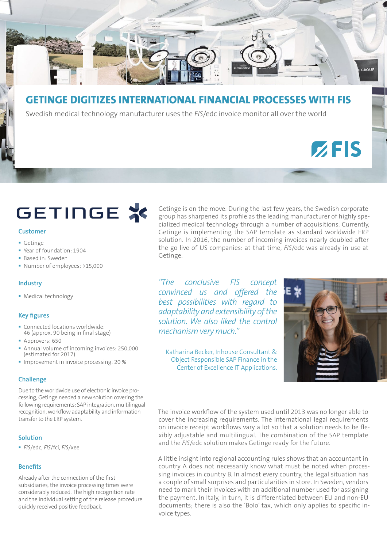

### **GETINGE DIGITIZES INTERNATIONAL FINANCIAL PROCESSES WITH FIS**

Swedish medical technology manufacturer uses the *FIS*/edc invoice monitor all over the world

## **GETINGE X**

#### **Customer**

- **Getinge**
- Year of foundation: 1904
- Based in: Sweden
- Number of employees: >15,000

#### **Industry**

Medical technology

#### **Key figures**

- Connected locations worldwide: 46 (approx. 90 being in final stage)
- **Approvers: 650**
- Annual volume of incoming invoices: 250,000 (estimated for 2017)
- **Improvement in invoice processing: 20 %**

#### **Challenge**

Due to the worldwide use of electronic invoice processing, Getinge needed a new solution covering the following requirements: SAP integration, multilingual recognition, workflow adaptability and information transfer to the ERP system.

#### **Solution**

*FIS*/edc, *FIS*/fci, *FIS*/xee

#### **Benefits**

Already after the connection of the first subsidiaries, the invoice processing times were considerably reduced. The high recognition rate and the individual setting of the release procedure quickly received positive feedback.

Getinge is on the move. During the last few years, the Swedish corporate group has sharpened its profile as the leading manufacturer of highly specialized medical technology through a number of acquisitions. Currently, Getinge is implementing the SAP template as standard worldwide ERP solution. In 2016, the number of incoming invoices nearly doubled after the go live of US companies: at that time, *FIS*/edc was already in use at Getinge.

*"The conclusive FIS concept convinced us and offered the best possibilities with regard to adaptability and extensibility of the solution. We also liked the control mechanism very much."* 

Katharina Becker, Inhouse Consultant & Object Responsible SAP Finance in the Center of Excellence IT Applications.



 $Z$ FIS

The invoice workflow of the system used until 2013 was no longer able to cover the increasing requirements. The international legal requirements on invoice receipt workflows vary a lot so that a solution needs to be flexibly adjustable and multilingual. The combination of the SAP template and the *FIS*/edc solution makes Getinge ready for the future.

A little insight into regional accounting rules shows that an accountant in country A does not necessarily know what must be noted when processing invoices in country B. In almost every country, the legal situation has a couple of small surprises and particularities in store. In Sweden, vendors need to mark their invoices with an additional number used for assigning the payment. In Italy, in turn, it is differentiated between EU and non-EU documents; there is also the 'Bolo' tax, which only applies to specific invoice types.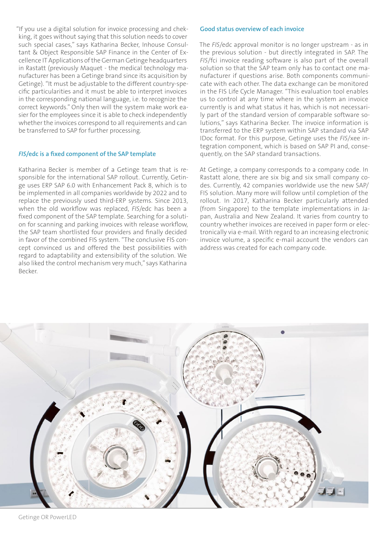"If you use a digital solution for invoice processing and chekking, it goes without saying that this solution needs to cover such special cases," says Katharina Becker, Inhouse Consultant & Object Responsible SAP Finance in the Center of Excellence IT Applications of the German Getinge headquarters in Rastatt (previously Maquet - the medical technology manufacturer has been a Getinge brand since its acquisition by Getinge). "It must be adjustable to the different country-specific particularities and it must be able to interpret invoices in the corresponding national language, i.e. to recognize the correct keywords." Only then will the system make work easier for the employees since it is able to check independently whether the invoices correspond to all requirements and can be transferred to SAP for further processing.

#### *FIS***/edc is a fixed component of the SAP template**

Katharina Becker is member of a Getinge team that is responsible for the international SAP rollout. Currently, Getinge uses ERP SAP 6.0 with Enhancement Pack 8, which is to be implemented in all companies worldwide by 2022 and to replace the previously used third-ERP systems. Since 2013, when the old workflow was replaced, *FIS*/edc has been a fixed component of the SAP template. Searching for a solution for scanning and parking invoices with release workflow, the SAP team shortlisted four providers and finally decided in favor of the combined FIS system. "The conclusive FIS concept convinced us and offered the best possibilities with regard to adaptability and extensibility of the solution. We also liked the control mechanism very much," says Katharina Becker.

#### **Good status overview of each invoice**

The *FIS*/edc approval monitor is no longer upstream - as in the previous solution - but directly integrated in SAP. The *FIS*/fci invoice reading software is also part of the overall solution so that the SAP team only has to contact one manufacturer if questions arise. Both components communicate with each other. The data exchange can be monitored in the FIS Life Cycle Manager. "This evaluation tool enables us to control at any time where in the system an invoice currently is and what status it has, which is not necessarily part of the standard version of comparable software solutions," says Katharina Becker. The invoice information is transferred to the ERP system within SAP standard via SAP IDoc format. For this purpose, Getinge uses the *FIS*/xee integration component, which is based on SAP PI and, consequently, on the SAP standard transactions.

At Getinge, a company corresponds to a company code. In Rastatt alone, there are six big and six small company codes. Currently, 42 companies worldwide use the new SAP/ FIS solution. Many more will follow until completion of the rollout. In 2017, Katharina Becker particularly attended (from Singapore) to the template implementations in Japan, Australia and New Zealand. It varies from country to country whether invoices are received in paper form or electronically via e-mail. With regard to an increasing electronic invoice volume, a specific e-mail account the vendors can address was created for each company code.



Getinge OR PowerLED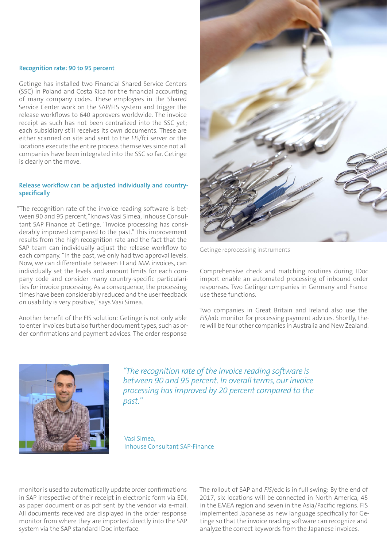#### **Recognition rate: 90 to 95 percent**

Getinge has installed two Financial Shared Service Centers (SSC) in Poland and Costa Rica for the financial accounting of many company codes. These employees in the Shared Service Center work on the SAP/FIS system and trigger the release workflows to 640 approvers worldwide. The invoice receipt as such has not been centralized into the SSC yet; each subsidiary still receives its own documents. These are either scanned on site and sent to the *FIS*/fci server or the locations execute the entire process themselves since not all companies have been integrated into the SSC so far. Getinge is clearly on the move.

#### **Release workflow can be adjusted individually and countryspecifically**

"The recognition rate of the invoice reading software is between 90 and 95 percent," knows Vasi Simea, Inhouse Consultant SAP Finance at Getinge. "Invoice processing has considerably improved compared to the past." This improvement results from the high recognition rate and the fact that the SAP team can individually adjust the release workflow to each company. "In the past, we only had two approval levels. Now, we can differentiate between FI and MM invoices, can individually set the levels and amount limits for each company code and consider many country-specific particularities for invoice processing. As a consequence, the processing times have been considerably reduced and the user feedback on usability is very positive," says Vasi Simea.

Another benefit of the FIS solution: Getinge is not only able to enter invoices but also further document types, such as order confirmations and payment advices. The order response



Getinge reprocessing instruments

Comprehensive check and matching routines during IDoc import enable an automated processing of inbound order responses. Two Getinge companies in Germany and France use these functions.

Two companies in Great Britain and Ireland also use the *FIS*/edc monitor for processing payment advices. Shortly, there will be four other companies in Australia and New Zealand.



*"The recognition rate of the invoice reading software is between 90 and 95 percent. In overall terms, our invoice processing has improved by 20 percent compared to the past."* 

Vasi Simea, Inhouse Consultant SAP-Finance

monitor is used to automatically update order confirmations in SAP irrespective of their receipt in electronic form via EDI, as paper document or as pdf sent by the vendor via e-mail. All documents received are displayed in the order response monitor from where they are imported directly into the SAP system via the SAP standard IDoc interface.

The rollout of SAP and *FIS*/edc is in full swing: By the end of 2017, six locations will be connected in North America, 45 in the EMEA region and seven in the Asia/Pacific regions. FIS implemented Japanese as new language specifically for Getinge so that the invoice reading software can recognize and analyze the correct keywords from the Japanese invoices.